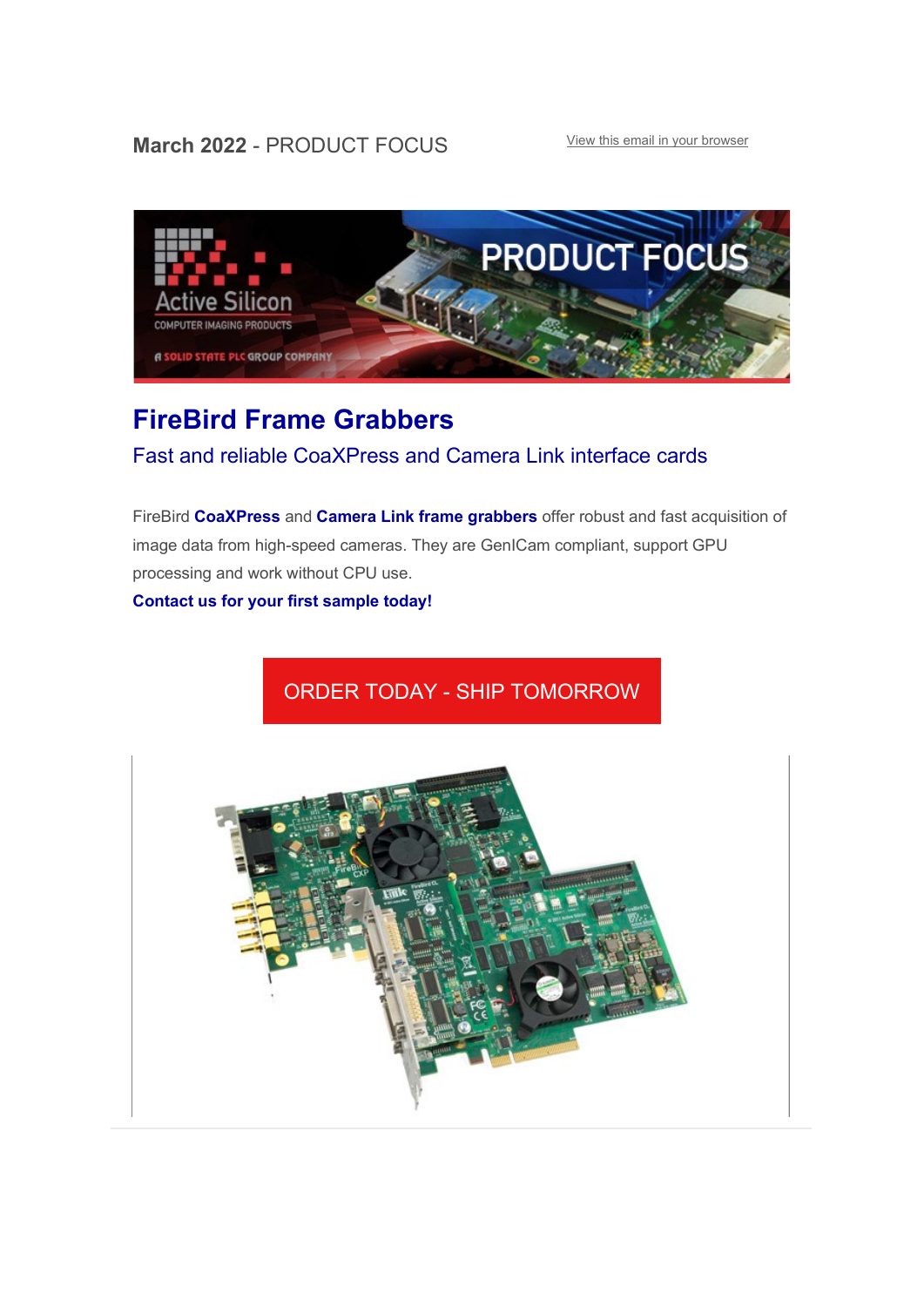### **March 2022 - PRODUCT FOCUS** [View this email in your browser](https://mailchi.mp/activesilicon/firebird-frame-grabbers-coaxpress-and-camera-link?e=f751110180)



## **[FireBird Frame Grabbers](https://www.activesilicon.com/products/frame-grabbers/)**

### Fast and reliable CoaXPress and Camera Link interface cards

FireBird **[CoaXPress](https://www.activesilicon.com/products/frame-grabbers/)** and **[Camera Link frame grabbers](https://www.activesilicon.com/products/frame-grabbers/?fwp_camera_interface=camera-link)** offer robust and fast acquisition of image data from high-speed cameras. They are GenICam compliant, support GPU processing and work without CPU use.

**[Contact us for your first sample today!](mailto:sales@activesilicon.com?subject=FireBird%20Frame%20Grabbers)**

# ORDER TODAY - [SHIP TOMORROW](https://www.activesilicon.com/products/frame-grabbers/)

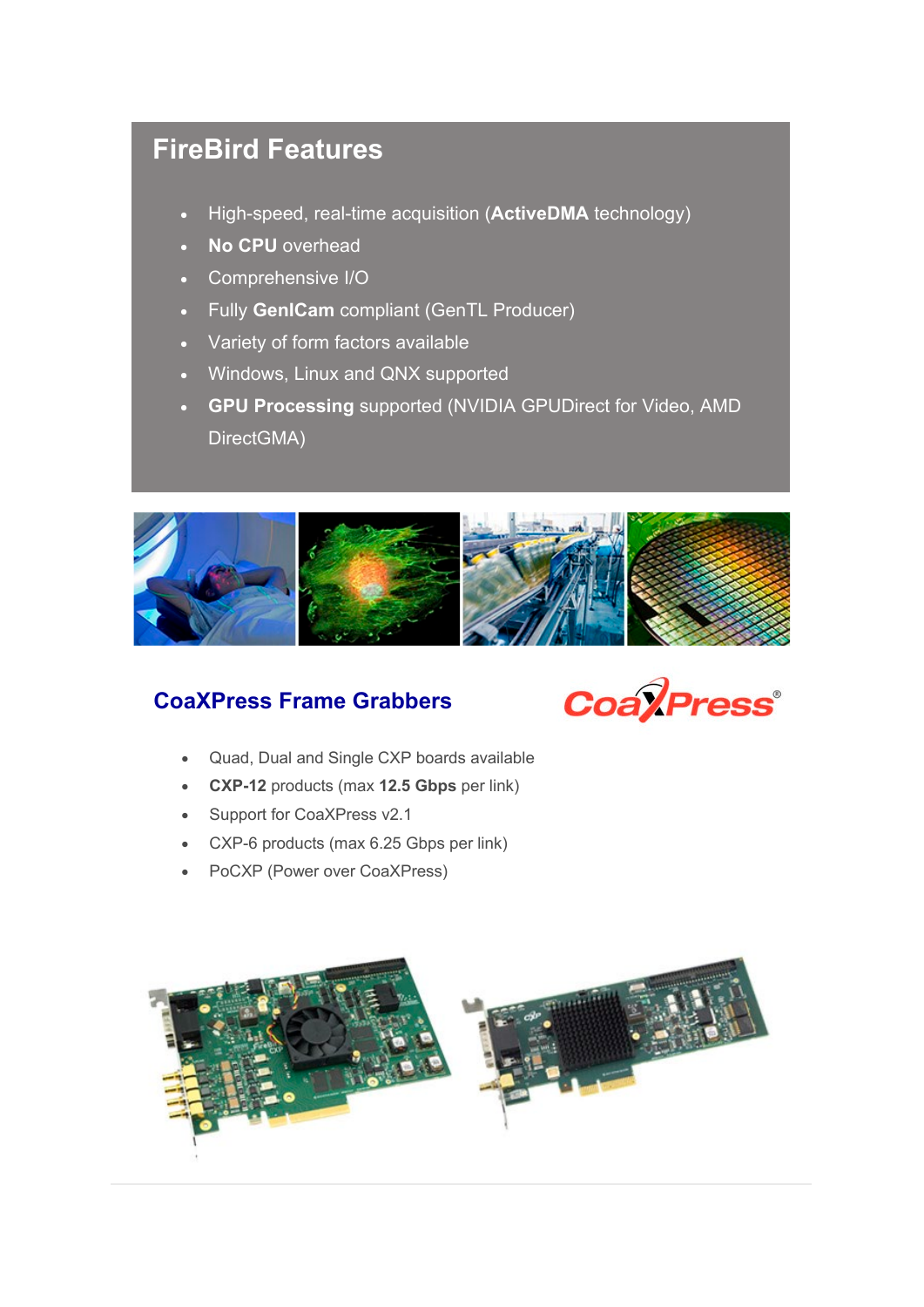# **FireBird Features**

- High-speed, real-time acquisition (**ActiveDMA** technology)
- **No CPU** overhead
- Comprehensive I/O
- Fully **GenICam** compliant (GenTL Producer)
- Variety of form factors available
- Windows, Linux and QNX supported
- **GPU Processing** supported (NVIDIA GPUDirect for Video, AMD DirectGMA)



### **[CoaXPress Frame Grabbers](https://www.activesilicon.com/products/frame-grabbers/)**



- Quad, Dual and Single CXP boards available
- **CXP-12** products (max **12.5 Gbps** per link)
- Support for CoaXPress v2.1
- CXP-6 products (max 6.25 Gbps per link)
- PoCXP (Power over CoaXPress)